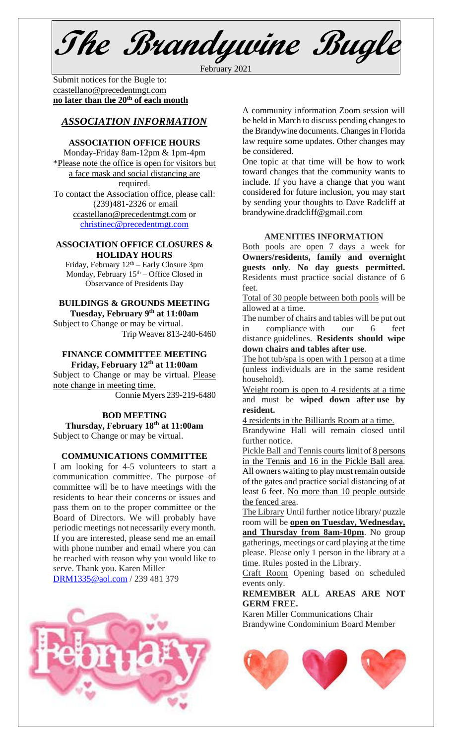**The Brandywine Bugle**

February 2021

Submit notices for the Bugle to: [ccastellano@precedentmgt.com](mailto:johnandbethgrooms@gmail.com) **no later than the 20th of each month**

# *ASSOCIATION INFORMATION*

## **ASSOCIATION OFFICE HOURS**

Monday-Friday 8am-12pm & 1pm-4pm \*Please note the office is open for visitors but a face mask and social distancing are required. To contact the Association office, please call: (239)481-2326 or email [ccastellano@precedentmgt.com](mailto:ccastellano@precedentmgt.com) or

[christinec@precedentmgt.com](mailto:christinec@precedentmgt.com)

## **ASSOCIATION OFFICE CLOSURES & HOLIDAY HOURS**

Friday, February  $12<sup>th</sup>$  – Early Closure 3pm Monday, February  $15<sup>th</sup> -$  Office Closed in Observance of Presidents Day

# **BUILDINGS & GROUNDS MEETING**

**Tuesday, February 9 th at 11:00am** Subject to Change or may be virtual. Trip Weaver 813-240-6460

## **FINANCE COMMITTEE MEETING Friday, February 12 th at 11:00am**

Subject to Change or may be virtual. Please note change in meeting time.

Connie Myers 239-219-6480

**BOD MEETING Thursday, February 18th at 11:00am** Subject to Change or may be virtual.

# **COMMUNICATIONS COMMITTEE**

I am looking for 4-5 volunteers to start a communication committee. The purpose of committee will be to have meetings with the residents to hear their concerns or issues and pass them on to the proper committee or the Board of Directors. We will probably have periodic meetings not necessarily every month. If you are interested, please send me an email with phone number and email where you can be reached with reason why you would like to serve. Thank you. Karen Miller

[DRM1335@aol.com](mailto:DRM1335@aol.com) / 239 481 379



A community information Zoom session will be held in March to discuss pending changes to the Brandywine documents. Changes in Florida law require some updates. Other changes may be considered.

One topic at that time will be how to work toward changes that the community wants to include. If you have a change that you want considered for future inclusion, you may start by sending your thoughts to Dave Radcliff at brandywine.dradcliff@gmail.com

## **AMENITIES INFORMATION**

Both pools are open 7 days a week for **Owners/residents, family and overnight guests only**. **No day guests permitted.** Residents must practice social distance of 6 feet.

Total of 30 people between both pools will be allowed at a time.

The number of chairs and tables will be put out in compliance with our 6 feet distance guidelines. **Residents should wipe down chairs and tables after use**.

The hot tub/spa is open with 1 person at a time (unless individuals are in the same resident household).

Weight room is open to 4 residents at a time and must be **wiped down after use by resident.**

4 residents in the Billiards Room at a time.

Brandywine Hall will remain closed until further notice.

Pickle Ball and Tennis courts limit of 8 persons in the Tennis and 16 in the Pickle Ball area. All owners waiting to play must remain outside of the gates and practice social distancing of at least 6 feet. No more than 10 people outside the fenced area.

The Library Until further notice library/ puzzle room will be **open on Tuesday, Wednesday, and Thursday from 8am-10pm**. No group gatherings, meetings or card playing at the time please. Please only 1 person in the library at a time. Rules posted in the Library.

Craft Room Opening based on scheduled events only.

#### **REMEMBER ALL AREAS ARE NOT GERM FREE.**

Karen Miller Communications Chair Brandywine Condominium Board Member

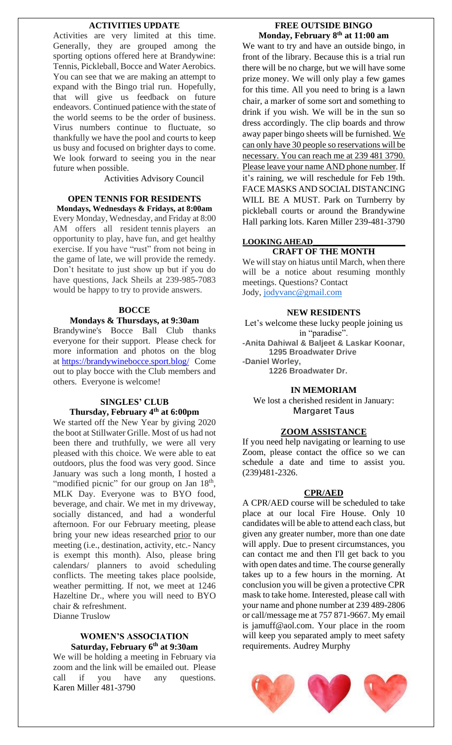#### **ACTIVITIES UPDATE**

Activities are very limited at this time. Generally, they are grouped among the sporting options offered here at Brandywine: Tennis, Pickleball, Bocce and Water Aerobics. You can see that we are making an attempt to expand with the Bingo trial run. Hopefully, that will give us feedback on future endeavors. Continued patience with the state of the world seems to be the order of business. Virus numbers continue to fluctuate, so thankfully we have the pool and courts to keep us busy and focused on brighter days to come. We look forward to seeing you in the near future when possible.

Activities Advisory Council

# **OPEN TENNIS FOR RESIDENTS**

**Mondays, Wednesdays & Fridays, at 8:00am** Every Monday, Wednesday, and Friday at 8:00 AM offers all resident tennis players an opportunity to play, have fun, and get healthy exercise. If you have "rust" from not being in the game of late, we will provide the remedy. Don't hesitate to just show up but if you do have questions, Jack Sheils at 239-985-7083 would be happy to try to provide answers.

#### **BOCCE**

#### **Mondays & Thursdays, at 9:30am**

Brandywine's Bocce Ball Club thanks everyone for their support. Please check for more information and photos on the blog at <https://brandywinebocce.sport.blog/> Come out to play bocce with the Club members and others. Everyone is welcome!

# **SINGLES' CLUB Thursday, February 4 th at 6:00pm**

We started off the New Year by giving 2020 the boot at Stillwater Grille. Most of us had not been there and truthfully, we were all very pleased with this choice. We were able to eat outdoors, plus the food was very good. Since January was such a long month, I hosted a "modified picnic" for our group on Jan 18<sup>th</sup>, MLK Day. Everyone was to BYO food, beverage, and chair. We met in my driveway, socially distanced, and had a wonderful afternoon. For our February meeting, please bring your new ideas researched prior to our meeting (i.e., destination, activity, etc.- Nancy is exempt this month). Also, please bring calendars/ planners to avoid scheduling conflicts. The meeting takes place poolside, weather permitting. If not, we meet at 1246 Hazeltine Dr., where you will need to BYO chair & refreshment. Dianne Truslow

#### **WOMEN'S ASSOCIATION Saturday, February 6 th at 9:30am**

We will be holding a meeting in February via zoom and the link will be emailed out. Please call if you have any questions. Karen Miller 481-3790

## **FREE OUTSIDE BINGO Monday, February 8 th at 11:00 am**

We want to try and have an outside bingo, in front of the library. Because this is a trial run there will be no charge, but we will have some prize money. We will only play a few games for this time. All you need to bring is a lawn chair, a marker of some sort and something to drink if you wish. We will be in the sun so dress accordingly. The clip boards and throw away paper bingo sheets will be furnished. We can only have 30 people so reservations will be necessary. You can reach me at 239 481 3790. Please leave your name AND phone number. If it's raining, we will reschedule for Feb 19th. FACE MASKS AND SOCIAL DISTANCING WILL BE A MUST. Park on Turnberry by pickleball courts or around the Brandywine Hall parking lots. Karen Miller 239-481-3790

## **LOOKING AHEAD\_\_\_\_\_\_\_\_\_\_\_\_\_\_\_\_\_\_\_\_\_\_\_ CRAFT OF THE MONTH**

We will stay on hiatus until March, when there will be a notice about resuming monthly meetings. Questions? Contact Jody, [jodyvanc@gmail.com](mailto:jodyvanc@gmail.com)

#### **NEW RESIDENTS**

Let's welcome these lucky people joining us in "paradise". **-Anita Dahiwal & Baljeet & Laskar Koonar, 1295 Broadwater Drive -Daniel Worley,**

**1226 Broadwater Dr.**

#### **IN MEMORIAM**

We lost a cherished resident in January: Margaret Taus

#### **ZOOM ASSISTANCE**

If you need help navigating or learning to use Zoom, please contact the office so we can schedule a date and time to assist you. (239)481-2326.

#### **CPR/AED**

A CPR/AED course will be scheduled to take place at our local Fire House. Only 10 candidates will be able to attend each class, but given any greater number, more than one date will apply. Due to present circumstances, you can contact me and then I'll get back to you with open dates and time. The course generally takes up to a few hours in the morning. At conclusion you will be given a protective CPR mask to take home. Interested, please call with your name and phone number at 239 489-2806 or call/message me at 757 871-9667. My email is jamuff@aol.com. Your place in the room will keep you separated amply to meet safety requirements. Audrey Murphy